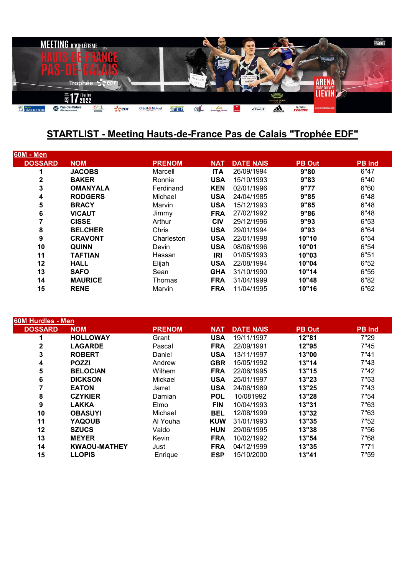

## **STARTLIST - Meeting Hauts-de-France Pas de Calais "Trophée EDF"**

| <b>60M - Men</b> |                 |               |            |                  |               |               |
|------------------|-----------------|---------------|------------|------------------|---------------|---------------|
| <b>DOSSARD</b>   | <b>NOM</b>      | <b>PRENOM</b> | <b>NAT</b> | <b>DATE NAIS</b> | <b>PB Out</b> | <b>PB</b> Ind |
| 1                | <b>JACOBS</b>   | Marcell       | <b>ITA</b> | 26/09/1994       | 9"80          | 6"47          |
| 2                | <b>BAKER</b>    | Ronnie        | <b>USA</b> | 15/10/1993       | 9"83          | 6"40          |
| 3                | <b>OMANYALA</b> | Ferdinand     | <b>KEN</b> | 02/01/1996       | 9"77          | 6"60          |
| 4                | <b>RODGERS</b>  | Michael       | <b>USA</b> | 24/04/1985       | 9"85          | 6"48          |
| 5                | <b>BRACY</b>    | Marvin        | <b>USA</b> | 15/12/1993       | 9"85          | 6"48          |
| 6                | <b>VICAUT</b>   | Jimmy         | <b>FRA</b> | 27/02/1992       | 9"86          | 6"48          |
|                  | <b>CISSE</b>    | Arthur        | <b>CIV</b> | 29/12/1996       | 9''93         | 6"53          |
| 8                | <b>BELCHER</b>  | Chris         | <b>USA</b> | 29/01/1994       | 9"93          | 6"64          |
| 9                | <b>CRAVONT</b>  | Charleston    | <b>USA</b> | 22/01/1998       | 10"10         | 6"54          |
| 10               | <b>QUINN</b>    | Devin         | <b>USA</b> | 08/06/1996       | 10"01         | 6"54          |
| 11               | <b>TAFTIAN</b>  | Hassan        | IRI        | 01/05/1993       | 10"03         | 6"51          |
| 12               | <b>HALL</b>     | Elijah        | <b>USA</b> | 22/08/1994       | 10"04         | 6"52          |
| 13               | <b>SAFO</b>     | Sean          | <b>GHA</b> | 31/10/1990       | 10"14         | 6"55          |
| 14               | <b>MAURICE</b>  | Thomas        | <b>FRA</b> | 31/04/1999       | 10"48         | 6"82          |
| 15               | <b>RENE</b>     | Marvin        | <b>FRA</b> | 11/04/1995       | 10"16         | 6"62          |
|                  |                 |               |            |                  |               |               |

| 60M Hurdles - Men |                     |               |            |                  |               |               |
|-------------------|---------------------|---------------|------------|------------------|---------------|---------------|
| <b>DOSSARD</b>    | <b>NOM</b>          | <b>PRENOM</b> | <b>NAT</b> | <b>DATE NAIS</b> | <b>PB Out</b> | <b>PB</b> Ind |
|                   | <b>HOLLOWAY</b>     | Grant         | <b>USA</b> | 19/11/1997       | 12"81         | 7"29          |
| 2                 | <b>LAGARDE</b>      | Pascal        | <b>FRA</b> | 22/09/1991       | 12"95         | 7"45          |
| 3                 | <b>ROBERT</b>       | Daniel        | <b>USA</b> | 13/11/1997       | 13"00         | 7"41          |
| 4                 | <b>POZZI</b>        | Andrew        | <b>GBR</b> | 15/05/1992       | 13"14         | 7"43          |
| 5                 | <b>BELOCIAN</b>     | Wilhem        | <b>FRA</b> | 22/06/1995       | 13"15         | 7"42          |
| 6                 | <b>DICKSON</b>      | Mickael       | <b>USA</b> | 25/01/1997       | 13"23         | 7"53          |
|                   | <b>EATON</b>        | Jarret        | <b>USA</b> | 24/06/1989       | 13"25         | 7"43          |
| 8                 | <b>CZYKIER</b>      | Damian        | <b>POL</b> | 10/081992        | 13"28         | 7"54          |
| 9                 | <b>LAKKA</b>        | Elmo          | <b>FIN</b> | 10/04/1993       | 13"31         | 7"63          |
| 10                | <b>OBASUYI</b>      | Michael       | <b>BEL</b> | 12/08/1999       | 13"32         | 7"63          |
| 11                | <b>YAQOUB</b>       | Al Youha      | <b>KUW</b> | 31/01/1993       | 13"35         | 7"52          |
| 12                | <b>SZUCS</b>        | Valdo         | <b>HUN</b> | 29/06/1995       | 13"38         | 7"56          |
| 13                | <b>MEYER</b>        | Kevin         | <b>FRA</b> | 10/02/1992       | 13"54         | 7"68          |
| 14                | <b>KWAOU-MATHEY</b> | Just          | <b>FRA</b> | 04/12/1999       | 13"35         | 7"71          |
| 15                | <b>LLOPIS</b>       | Enrique       | <b>ESP</b> | 15/10/2000       | 13"41         | 7"59          |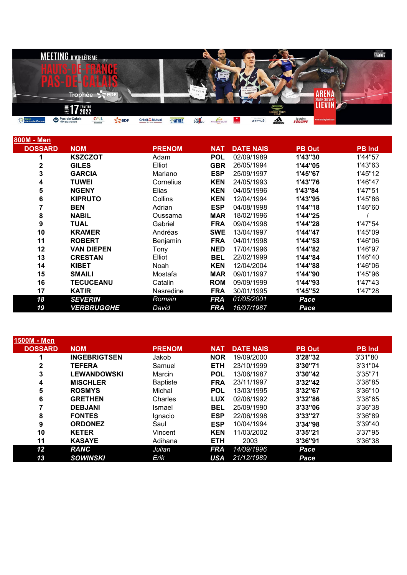|                           | <b>MEETING D'ATHLÉTISME</b>    |               |                      |                             |               |                           |                     |         | $\bullet$    |                            |                             |                       | $\overbrace{\text{SATE}}^{\text{optimal per}}$ |
|---------------------------|--------------------------------|---------------|----------------------|-----------------------------|---------------|---------------------------|---------------------|---------|--------------|----------------------------|-----------------------------|-----------------------|------------------------------------------------|
|                           |                                |               |                      |                             |               |                           |                     |         |              |                            |                             |                       |                                                |
|                           |                                |               |                      |                             |               |                           | LACOBS <sup>L</sup> |         |              |                            |                             |                       |                                                |
|                           | m                              |               |                      |                             |               | <b>COL</b><br>$O_{LIVER}$ |                     |         | INGEBRIGTSEN |                            |                             |                       |                                                |
|                           | <b>Trophée</b>                 | $\sim$        |                      |                             |               |                           |                     |         |              |                            |                             | <b>STADE COUVERT</b>  |                                                |
|                           | <b>7</b> février<br>$\bar{=}1$ |               |                      |                             |               |                           |                     |         |              | INDOOR TOUR                |                             | LIEVIN                |                                                |
| Région<br>Hauts-de-France | <b>Com</b> Pas-de-Calais       | $\frac{C}{C}$ | $\epsilon$ epr<br>a. | Crédit Mutuel<br>Not Europe | <b>EATHLE</b> | Ciercu                    | Arena Stade Couver  | Coatata | ATHLZ        | a <sub>di</sub> <b>das</b> | lachaine<br><b>L'EQUIPE</b> | www.meetinglievin.com |                                                |

| <u>800M - Men</u> |                          |               |            |                  |               |               |
|-------------------|--------------------------|---------------|------------|------------------|---------------|---------------|
| <b>DOSSARD</b>    | <b>NOM</b>               | <b>PRENOM</b> | <b>NAT</b> | <b>DATE NAIS</b> | <b>PB Out</b> | <b>PB Ind</b> |
|                   | <b>KSZCZOT</b>           | Adam          | <b>POL</b> | 02/09/1989       | 1'43"30       | 1'44"57       |
| 2                 | <b>GILES</b>             | Elliot        | <b>GBR</b> | 26/05/1994       | 1'44"05       | 1'43"63       |
| 3                 | <b>GARCIA</b>            | Mariano       | <b>ESP</b> | 25/09/1997       | 1'45"67       | 1'45"12       |
| 4                 | <b>TUWEI</b>             | Cornelius     | <b>KEN</b> | 24/05/1993       | 1'43"76       | 1'46"47       |
| 5                 | <b>NGENY</b>             | Elias         | <b>KEN</b> | 04/05/1996       | 1'43"84       | 1'47"51       |
| 6                 | <b>KIPRUTO</b>           | Collins       | <b>KEN</b> | 12/04/1994       | 1'43"95       | 1'45"86       |
| 7                 | <b>BEN</b>               | Adrian        | <b>ESP</b> | 04/08/1998       | 1'44"18       | 1'46"60       |
| 8                 | <b>NABIL</b>             | Oussama       | <b>MAR</b> | 18/02/1996       | 1'44"25       |               |
| 9                 | TUAL                     | Gabriel       | <b>FRA</b> | 09/04/1998       | 1'44"28       | 1'47"54       |
| 10                | <b>KRAMER</b>            | Andréas       | <b>SWE</b> | 13/04/1997       | 1'44"47       | 1'45"09       |
| 11                | <b>ROBERT</b>            | Benjamin      | <b>FRA</b> | 04/01/1998       | 1'44"53       | 1'46"06       |
| 12                | <b>VAN DIEPEN</b>        | Tony          | <b>NED</b> | 17/04/1996       | 1'44"82       | 1'46"97       |
| 13                | <b>CRESTAN</b>           | Elliot        | <b>BEL</b> | 22/02/1999       | 1'44"84       | 1'46"40       |
| 14                | <b>KIBET</b>             | Noah          | <b>KEN</b> | 12/04/2004       | 1'44"88       | 1'46"06       |
| 15                | <b>SMAILI</b>            | Mostafa       | <b>MAR</b> | 09/01/1997       | 1'44"90       | 1'45"96       |
| 16                | <b>TECUCEANU</b>         | Catalin       | <b>ROM</b> | 09/09/1999       | 1'44"93       | 1'47"43       |
| 17                | <b>KATIR</b>             | Nasredine     | <b>FRA</b> | 30/01/1995       | 1'45"52       | 1'47"28       |
| 18                | <b>SEVERIN</b>           | Romain        | <b>FRA</b> | 01/05/2001       | Pace          |               |
| 19                | <b><i>VERBRUGGHE</i></b> | David         | <b>FRA</b> | 16/07/1987       | Pace          |               |

| 1500M - Men    |                     |                 |            |                  |               |               |
|----------------|---------------------|-----------------|------------|------------------|---------------|---------------|
| <b>DOSSARD</b> | <b>NOM</b>          | <b>PRENOM</b>   | <b>NAT</b> | <b>DATE NAIS</b> | <b>PB Out</b> | <b>PB</b> Ind |
| л              | <b>INGEBRIGTSEN</b> | Jakob           | <b>NOR</b> | 19/09/2000       | 3'28"32       | 3'31"80       |
| 2              | <b>TEFERA</b>       | Samuel          | <b>ETH</b> | 23/10/1999       | 3'30"71       | 3'31"04       |
| 3              | <b>LEWANDOWSKI</b>  | Marcin          | <b>POL</b> | 13/06/1987       | 3'30"42       | 3'35"71       |
| 4              | <b>MISCHLER</b>     | <b>Baptiste</b> | <b>FRA</b> | 23/11/1997       | 3'32"42       | 3'38"85       |
| 5              | <b>ROSMYS</b>       | Michal          | <b>POL</b> | 13/03/1995       | 3'32"67       | 3'36"10       |
| 6              | <b>GRETHEN</b>      | Charles         | <b>LUX</b> | 02/06/1992       | 3'32"86       | 3'38"65       |
|                | <b>DEBJANI</b>      | Ismael          | <b>BEL</b> | 25/09/1990       | 3'33"06       | 3'36"38       |
| 8              | <b>FONTES</b>       | Ignacio         | <b>ESP</b> | 22/06/1998       | 3'33"27       | 3'36"89       |
| 9              | <b>ORDONEZ</b>      | Saul            | <b>ESP</b> | 10/04/1994       | 3'34"98       | 3'39"40       |
| 10             | <b>KETER</b>        | Vincent         | <b>KEN</b> | 11/03/2002       | 3'35"21       | 3'37"95       |
| 11             | <b>KASAYE</b>       | Adihana         | <b>ETH</b> | 2003             | 3'36"91       | 3'36"38       |
| 12             | <b>RANC</b>         | Julian          | <b>FRA</b> | 14/09/1996       | Pace          |               |
| 13             | <b>SOWINSKI</b>     | Erik            | <b>USA</b> | 21/12/1989       | Pace          |               |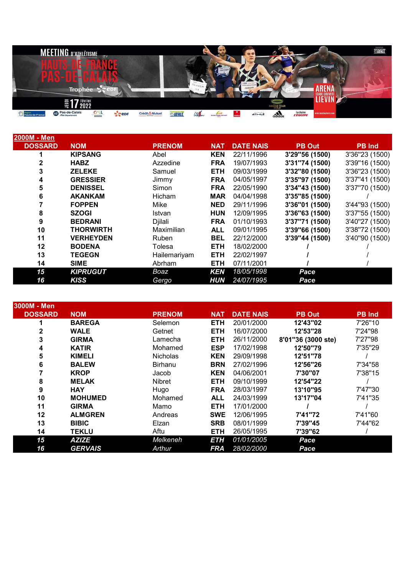|                           | <b>MEETING D'ATHLÉTISME</b>      |        |                  |                              |        |             |                     |              | $\mathfrak{D}$ $\mathfrak{S}$ |             |                             |                       | <b>EXATHLE</b> |
|---------------------------|----------------------------------|--------|------------------|------------------------------|--------|-------------|---------------------|--------------|-------------------------------|-------------|-----------------------------|-----------------------|----------------|
|                           |                                  |        |                  |                              |        |             |                     |              |                               |             |                             |                       |                |
|                           |                                  |        |                  |                              |        |             | JACOBS <sup>L</sup> |              |                               |             |                             |                       |                |
|                           | m                                |        |                  |                              |        | $O_{LIVER}$ |                     |              | <b>POF COMMANDER</b>          |             |                             |                       |                |
|                           | <b>Trophée</b>                   | $\sim$ |                  |                              |        |             |                     | <b>Black</b> | <b>JAKOP</b>                  |             |                             | <b>STADE COUVERT</b>  |                |
|                           | <b>7</b> <i>février</i><br>JEUDI |        |                  |                              |        |             |                     |              |                               | INDOOR TOUR |                             | LIEVIN                |                |
| Région<br>Hauts-de-France | Pas-de-Calais                    | C/UL   | $\zeta$ epr<br>◢ | Crédit Mutuel<br>Nord Europe | SATHLE | Cierun      | Arena Stade Couver  |              | ATHLZ                         | $a$ didas   | lachaine<br><b>L'EQUIPE</b> | www.meetinglievin.com |                |

| l2000M - Men   |                  |               |            |                  |                |                |
|----------------|------------------|---------------|------------|------------------|----------------|----------------|
| <b>DOSSARD</b> | <b>NOM</b>       | <b>PRENOM</b> | <b>NAT</b> | <b>DATE NAIS</b> | <b>PB Out</b>  | PB Ind.        |
|                | <b>KIPSANG</b>   | Abel          | <b>KEN</b> | 22/11/1996       | 3'29"56 (1500) | 3'36"23 (1500) |
|                | <b>HABZ</b>      | Azzedine      | <b>FRA</b> | 19/07/1993       | 3'31"74 (1500) | 3'39"16 (1500) |
| 3              | <b>ZELEKE</b>    | Samuel        | <b>ETH</b> | 09/03/1999       | 3'32"80 (1500) | 3'36"23 (1500) |
| 4              | <b>GRESSIER</b>  | Jimmy         | <b>FRA</b> | 04/05/1997       | 3'35"97 (1500) | 3'37"41 (1500) |
| 5              | <b>DENISSEL</b>  | Simon         | <b>FRA</b> | 22/05/1990       | 3'34"43 (1500) | 3'37"70 (1500) |
| 6              | <b>AKANKAM</b>   | Hicham        | <b>MAR</b> | 04/04/1998       | 3'35"85 (1500) |                |
|                | <b>FOPPEN</b>    | Mike          | <b>NED</b> | 29/11/1996       | 3'36"01 (1500) | 3'44"93 (1500) |
| 8              | <b>SZOGI</b>     | Istvan        | <b>HUN</b> | 12/09/1995       | 3'36"63 (1500) | 3'37"55 (1500) |
| 9              | <b>BEDRANI</b>   | Djilali       | <b>FRA</b> | 01/10/1993       | 3'37"71 (1500) | 3'40"27 (1500) |
| 10             | <b>THORWIRTH</b> | Maximilian    | <b>ALL</b> | 09/01/1995       | 3'39"66 (1500) | 3'38"72 (1500) |
| 11             | <b>VERHEYDEN</b> | Ruben         | <b>BEL</b> | 22/12/2000       | 3'39"44 (1500) | 3'40"90 (1500) |
| 12             | <b>BODENA</b>    | Tolesa        | <b>ETH</b> | 18/02/2000       |                |                |
| 13             | <b>TEGEGN</b>    | Hailemariyam  | <b>ETH</b> | 22/02/1997       |                |                |
| 14             | <b>SIME</b>      | Abrham        | <b>ETH</b> | 07/11/2001       |                |                |
| 15             | <b>KIPRUGUT</b>  | Boaz          | <b>KEN</b> | 18/05/1998       | Pace           |                |
| 16             | <b>KISS</b>      | Gergo         | <b>HUN</b> | 24/07/1995       | Pace           |                |

| 3000M - Men    |                |                 |            |                  |                    |               |
|----------------|----------------|-----------------|------------|------------------|--------------------|---------------|
| <b>DOSSARD</b> | <b>NOM</b>     | <b>PRENOM</b>   | <b>NAT</b> | <b>DATE NAIS</b> | <b>PB Out</b>      | <b>PB</b> Ind |
|                | <b>BAREGA</b>  | Selemon         | <b>ETH</b> | 20/01/2000       | 12'43"02           | 7'26"10       |
| 2              | <b>WALE</b>    | Getnet          | <b>ETH</b> | 16/07/2000       | 12'53"28           | 7'24"98       |
| 3              | <b>GIRMA</b>   | Lamecha         | <b>ETH</b> | 26/11/2000       | 8'01"36 (3000 ste) | 7'27"98       |
| 4              | <b>KATIR</b>   | Mohamed         | <b>ESP</b> | 17/02/1998       | 12'50"79           | 7'35"29       |
| 5              | <b>KIMELI</b>  | <b>Nicholas</b> | <b>KEN</b> | 29/09/1998       | 12'51"78           |               |
| 6              | <b>BALEW</b>   | <b>Birhanu</b>  | <b>BRN</b> | 27/02/1996       | 12'56"26           | 7'34"58       |
|                | <b>KROP</b>    | Jacob           | <b>KEN</b> | 04/06/2001       | 7'30"07            | 7'38"15       |
| 8              | <b>MELAK</b>   | Nibret          | <b>ETH</b> | 09/10/1999       | 12'54"22           |               |
| 9              | <b>HAY</b>     | Hugo            | <b>FRA</b> | 28/03/1997       | 13'10"95           | 7'47"30       |
| 10             | <b>MOHUMED</b> | Mohamed         | <b>ALL</b> | 24/03/1999       | 13'17"04           | 7'41"35       |
| 11             | <b>GIRMA</b>   | Mamo            | <b>ETH</b> | 17/01/2000       |                    |               |
| 12             | <b>ALMGREN</b> | Andreas         | <b>SWE</b> | 12/06/1995       | 7'41"72            | 7'41"60       |
| 13             | <b>BIBIC</b>   | Elzan           | <b>SRB</b> | 08/01/1999       | 7'39"45            | 7'44"62       |
| 14             | <b>TEKLU</b>   | Aftu            | <b>ETH</b> | 26/05/1995       | 7'39"62            |               |
| 15             | <b>AZIZE</b>   | Melkeneh        | <b>ETH</b> | 01/01/2005       | Pace               |               |
| 16             | <b>GERVAIS</b> | Arthur          | <b>FRA</b> | 28/02/2000       | Pace               |               |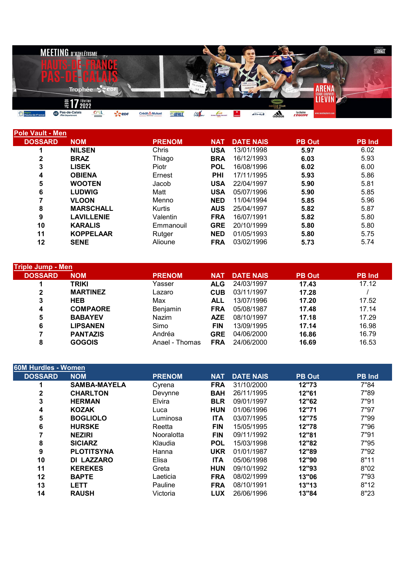

| <b>Pole Vault - Men</b> |                   |               |            |                  |               |               |
|-------------------------|-------------------|---------------|------------|------------------|---------------|---------------|
| <b>DOSSARD</b>          | <b>NOM</b>        | <b>PRENOM</b> | <b>NAT</b> | <b>DATE NAIS</b> | <b>PB Out</b> | <b>PB</b> Ind |
|                         | <b>NILSEN</b>     | Chris         | <b>USA</b> | 13/01/1998       | 5.97          | 6.02          |
| $\mathbf{2}$            | <b>BRAZ</b>       | Thiago        | <b>BRA</b> | 16/12/1993       | 6.03          | 5.93          |
| 3                       | <b>LISEK</b>      | Piotr         | <b>POL</b> | 16/08/1996       | 6.02          | 6.00          |
| 4                       | <b>OBIENA</b>     | Ernest        | <b>PHI</b> | 17/11/1995       | 5.93          | 5.86          |
| 5                       | <b>WOOTEN</b>     | Jacob         | <b>USA</b> | 22/04/1997       | 5.90          | 5.81          |
| 6                       | <b>LUDWIG</b>     | Matt          | <b>USA</b> | 05/07/1996       | 5.90          | 5.85          |
|                         | <b>VLOON</b>      | Menno         | <b>NED</b> | 11/04/1994       | 5.85          | 5.96          |
| 8                       | <b>MARSCHALL</b>  | Kurtis        | <b>AUS</b> | 25/04/1997       | 5.82          | 5.87          |
| 9                       | <b>LAVILLENIE</b> | Valentin      | <b>FRA</b> | 16/07/1991       | 5.82          | 5.80          |
| 10                      | <b>KARALIS</b>    | Emmanouil     | <b>GRE</b> | 20/10/1999       | 5.80          | 5.80          |
| 11                      | <b>KOPPELAAR</b>  | Rutger        | <b>NED</b> | 01/05/1993       | 5.80          | 5.75          |
| 12                      | <b>SENE</b>       | Alioune       | <b>FRA</b> | 03/02/1996       | 5.73          | 5.74          |
|                         |                   |               |            |                  |               |               |

| <b>Triple Jump - Men</b> |                 |                |            |                  |               |               |
|--------------------------|-----------------|----------------|------------|------------------|---------------|---------------|
| <b>DOSSARD</b>           | <b>NOM</b>      | <b>PRENOM</b>  | <b>NAT</b> | <b>DATE NAIS</b> | <b>PB Out</b> | <b>PB</b> Ind |
|                          | <b>TRIKI</b>    | Yasser         | <b>ALG</b> | 24/03/1997       | 17.43         | 17.12         |
| 2                        | <b>MARTINEZ</b> | Lazaro         | <b>CUB</b> | 03/11/1997       | 17.28         |               |
| 3                        | <b>HEB</b>      | Max            | <b>ALL</b> | 13/07/1996       | 17.20         | 17.52         |
| 4                        | <b>COMPAORE</b> | Benjamin       | <b>FRA</b> | 05/08/1987       | 17.48         | 17.14         |
| 5                        | <b>BABAYEV</b>  | Nazim          | <b>AZE</b> | 08/10/1997       | 17.18         | 17.29         |
| 6                        | <b>LIPSANEN</b> | Simo           | <b>FIN</b> | 13/09/1995       | 17.14         | 16.98         |
|                          | <b>PANTAZIS</b> | Andréa         | <b>GRE</b> | 04/06/2000       | 16.86         | 16.79         |
| 8                        | <b>GOGOIS</b>   | Anael - Thomas | <b>FRA</b> | 24/06/2000       | 16.69         | 16.53         |
|                          |                 |                |            |                  |               |               |

| <b>60M Hurdles - Women</b> |                     |               |            |                  |               |               |
|----------------------------|---------------------|---------------|------------|------------------|---------------|---------------|
| <b>DOSSARD</b>             | <b>NOM</b>          | <b>PRENOM</b> | <b>NAT</b> | <b>DATE NAIS</b> | <b>PB Out</b> | <b>PB</b> Ind |
|                            | <b>SAMBA-MAYELA</b> | Cyrena        | <b>FRA</b> | 31/10/2000       | 12"73         | 7"84          |
| 2                          | <b>CHARLTON</b>     | Devynne       | <b>BAH</b> | 26/11/1995       | 12"61         | 7"89          |
| 3                          | <b>HERMAN</b>       | Elvira        | <b>BLR</b> | 09/01/1997       | 12"62         | 7"91          |
| 4                          | <b>KOZAK</b>        | Luca          | <b>HUN</b> | 01/06/1996       | 12"71         | 7"97          |
| 5                          | <b>BOGLIOLO</b>     | Luminosa      | <b>ITA</b> | 03/07/1995       | 12"75         | 7"99          |
| 6                          | <b>HURSKE</b>       | Reetta        | <b>FIN</b> | 15/05/1995       | 12"78         | 7"96          |
|                            | <b>NEZIRI</b>       | Nooralotta    | <b>FIN</b> | 09/11/1992       | 12"81         | 7"91          |
| 8                          | <b>SICIARZ</b>      | Klaudia       | <b>POL</b> | 15/03/1998       | 12"82         | 7"95          |
| 9                          | <b>PLOTITSYNA</b>   | Hanna         | <b>UKR</b> | 01/01/1987       | 12"89         | 7"92          |
| 10                         | DI LAZZARO          | Elisa         | <b>ITA</b> | 05/06/1998       | 12"90         | 8"11          |
| 11                         | <b>KEREKES</b>      | Greta         | <b>HUN</b> | 09/10/1992       | 12"93         | 8"02          |
| 12                         | <b>BAPTE</b>        | Laeticia      | <b>FRA</b> | 08/02/1999       | 13"06         | 7"93          |
| 13                         | <b>LETT</b>         | Pauline       | <b>FRA</b> | 08/10/1991       | 13"13         | 8"12          |
| 14                         | <b>RAUSH</b>        | Victoria      | <b>LUX</b> | 26/06/1996       | 13"84         | 8"23          |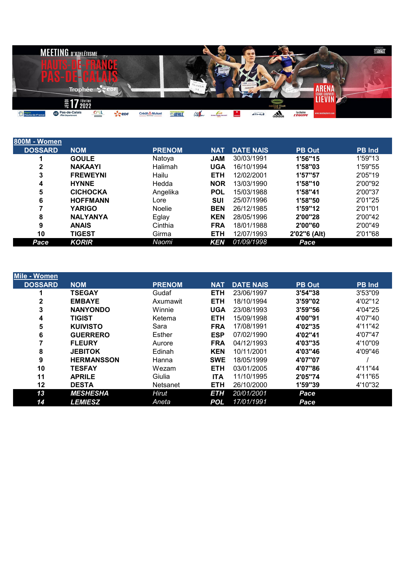

| 800M - Women'  |                 |               |            |                  |               |               |
|----------------|-----------------|---------------|------------|------------------|---------------|---------------|
| <b>DOSSARD</b> | <b>NOM</b>      | <b>PRENOM</b> | <b>NAT</b> | <b>DATE NAIS</b> | <b>PB Out</b> | <b>PB</b> Ind |
|                | <b>GOULE</b>    | Natoya        | <b>JAM</b> | 30/03/1991       | 1'56"15       | 1'59"13       |
| 2              | <b>NAKAAYI</b>  | Halimah       | <b>UGA</b> | 16/10/1994       | 1'58"03       | 1'59"55       |
| 3              | <b>FREWEYNI</b> | Hailu         | <b>ETH</b> | 12/02/2001       | 1'57"57       | 2'05"19       |
| 4              | <b>HYNNE</b>    | Hedda         | <b>NOR</b> | 13/03/1990       | 1'58"10       | 2'00"92       |
| 5              | <b>CICHOCKA</b> | Angelika      | <b>POL</b> | 15/03/1988       | 1'58"41       | 2'00"37       |
| 6              | <b>HOFFMANN</b> | Lore          | <b>SUI</b> | 25/07/1996       | 1'58"50       | 2'01"25       |
|                | <b>YARIGO</b>   | <b>Noelie</b> | <b>BEN</b> | 26/12/1985       | 1'59"12       | 2'01"01       |
| 8              | <b>NALYANYA</b> | Eglay         | <b>KEN</b> | 28/05/1996       | 2'00"28       | 2'00"42       |
| 9              | <b>ANAIS</b>    | Cinthia       | <b>FRA</b> | 18/01/1988       | 2'00"60       | 2'00"49       |
| 10             | <b>TIGEST</b>   | Girma         | <b>ETH</b> | 12/07/1993       | 2'02"6 (Alt)  | 2'01"68       |
| Pace           | <b>KORIR</b>    | Naomi         | <b>KEN</b> | 01/09/1998       | Pace          |               |

| Mile - Women   |                   |                 |            |                  |               |               |
|----------------|-------------------|-----------------|------------|------------------|---------------|---------------|
| <b>DOSSARD</b> | <b>NOM</b>        | <b>PRENOM</b>   | <b>NAT</b> | <b>DATE NAIS</b> | <b>PB Out</b> | <b>PB</b> Ind |
|                | <b>TSEGAY</b>     | Gudaf           | <b>ETH</b> | 23/06/1997       | 3'54"38       | 3'53"09       |
| 2              | <b>EMBAYE</b>     | Axumawit        | <b>ETH</b> | 18/10/1994       | 3'59"02       | 4'02"12       |
| 3              | <b>NANYONDO</b>   | Winnie          | <b>UGA</b> | 23/08/1993       | 3'59"56       | 4'04"25       |
| 4              | <b>TIGIST</b>     | Ketema          | <b>ETH</b> | 15/09/1998       | 4'00"91       | 4'07"40       |
| 5              | <b>KUIVISTO</b>   | Sara            | <b>FRA</b> | 17/08/1991       | 4'02"35       | 4'11"42       |
| 6              | <b>GUERRERO</b>   | Esther          | <b>ESP</b> | 07/02/1990       | 4'02"41       | 4'07"47       |
|                | <b>FLEURY</b>     | Aurore          | <b>FRA</b> | 04/12/1993       | 4'03"35       | 4'10"09       |
| 8              | <b>JEBITOK</b>    | Edinah          | <b>KEN</b> | 10/11/2001       | 4'03"46       | 4'09"46       |
| 9              | <b>HERMANSSON</b> | Hanna           | <b>SWE</b> | 18/05/1999       | 4'07"07       |               |
| 10             | <b>TESFAY</b>     | Wezam           | <b>ETH</b> | 03/01/2005       | 4'07"86       | 4'11"44       |
| 11             | <b>APRILE</b>     | Giulia          | <b>ITA</b> | 11/10/1995       | 2'05"74       | 4'11"65       |
| 12             | <b>DESTA</b>      | <b>Netsanet</b> | <b>ETH</b> | 26/10/2000       | 1'59"39       | 4'10"32       |
| 13             | <b>MESHESHA</b>   | Hirut           | <b>ETH</b> | 20/01/2001       | Pace          |               |
| 14             | <b>LEMIESZ</b>    | Aneta           | <b>POL</b> | 17/01/1991       | Pace          |               |